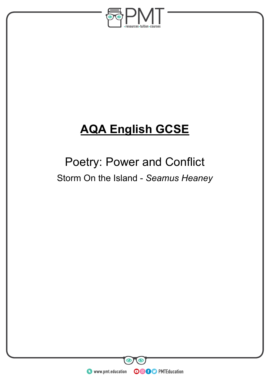

# **AQA English GCSE**

## Poetry: Power and Conflict Storm On the Island - *Seamus Heaney*

**WWW.pmt.education** 

**OOOO** PMTEducation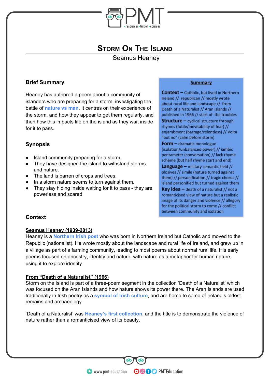

## **STORM ON THE ISLAND**

Seamus Heaney

## **Brief Summary**

Heaney has authored a poem about a community of islanders who are preparing for a storm, investigating the battle of **nature vs man**. It centres on their experience of the storm, and how they appear to get them regularly, and then how this impacts life on the island as they wait inside for it to pass.

## **Synopsis**

- Island community preparing for a storm.
- They have designed the island to withstand storms and nature.
- The land is barren of crops and trees.
- In a storm nature seems to turn against them.
- They stay hiding inside waiting for it to pass they are powerless and scared.

#### **Summary**

**Context - Catholic, but lived in Northern** Ireland // republican // mostly wrote about rural life and landscape // from Death of a Naturalist // Aran islands // published in 1966 // start of the troubles **Structure - cyclical structure through** rhymes (futile/inevitability of fear) // enjambment (barrage/relentless) // Volta "but no" (calm before storm) Form - dramatic monologue

(isolation/unbalanced power) // iambic pentameter (conversation) // lack rhyme scheme (but half rhyme start and end)

Language - military semantic field // plosives // simile (nature turned against them) // personification // tragic chorus // island personified but turned against them

**Key idea**  $-$  death of a naturalist // not a romanticised view of nature but a realistic image of its danger and violence // allegory for the political storm to come // conflict between community and isolation

## **Context**

#### **Seamus Heaney (1939-2013)**

Heaney is a **Northern Irish poet** who was born in Northern Ireland but Catholic and moved to the Republic (nationalist). He wrote mostly about the landscape and rural life of Ireland, and grew up in a village as part of a farming community, leading to most poems about normal rural life. His early poems focused on ancestry, identity and nature, with nature as a metaphor for human nature, using it to explore identity.

#### **From "Death of a Naturalist" (1966)**

Storm on the Island is part of a three-poem segment in the collection 'Death of a Naturalist' which was focused on the Aran Islands and how nature shows its power there. The Aran Islands are used traditionally in Irish poetry as a **symbol of Irish culture**, and are home to some of Ireland's oldest remains and archaeology

'Death of a Naturalist' was **Heaney's first collection**, and the title is to demonstrate the violence of nature rather than a romanticised view of its beauty.

**OOOO** PMTEducation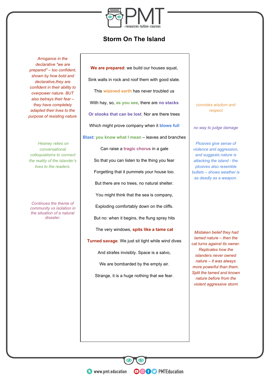

## **Storm On The Island**

*Arrogance in the declarative "we are prepared" – too confident, shown by how bold and declarative,they are confident in their ability to overpower nature. BUT also betrays their fear – they have completely adapted their lives to the purpose of resisting nature*

 *Heaney relies on conversational colloquialisms to connect the reality of the islander's lives to the readers.*

*Continues the theme of community vs isolation in the situation of a natural disaster.*

**We are prepared**: we build our houses squat, Sink walls in rock and roof them with good slate. This **wizened earth** has never troubled us With hay, so, **as you see**, there are **no stacks Or stooks that can be lost**. Nor are there trees Which might prove company when it **blows full**

**Blast**: **you know what I mean** – leaves and branches

Can raise a **tragic chorus** in a gale So that you can listen to the thing you fear Forgetting that it pummels your house too. But there are no trees, no natural shelter. You might think that the sea is company, Exploding comfortably down on the cliffs. But no: when it begins, the flung spray hits The very windows, **spits like a tame cat Turned savage**. We just sit tight while wind dives And strafes invisibly. Space is a salvo, We are bombarded by the empty air. Strange, it is a huge nothing that we fear.

*connotes wisdom and respect*

*no way to judge damage*

*Plosives give sense of violence and aggression, and suggests nature is attacking the island - the plosives also resemble bullets – shows weather is as deadly as a weapon.*

 *Mistaken belief they had tamed nature – then the cat turns against its owner. Replicates how the islanders never owned nature – it was always more powerful than them. Split the tamed and known nature before from the violent aggressive storm*

**WWW.pmt.education** 

**OOOO** PMTEducation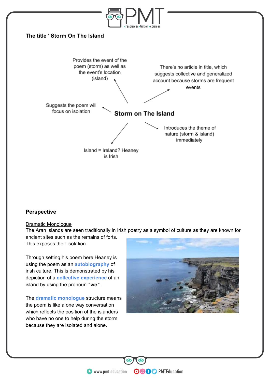

## **Perspective**

#### Dramatic Monologue

The Aran islands are seen traditionally in Irish poetry as a symbol of culture as they are known for ancient sites such as the remains of forts.

This exposes their isolation.

Through setting his poem here Heaney is using the poem as an **autobiography** of irish culture. This is demonstrated by his depiction of a **collective experience** of an island by using the pronoun *"we"*.

The **dramatic monologue** structure means the poem is like a one way conversation which reflects the position of the islanders who have no one to help during the storm because they are isolated and alone.



**OOOO** PMTEducation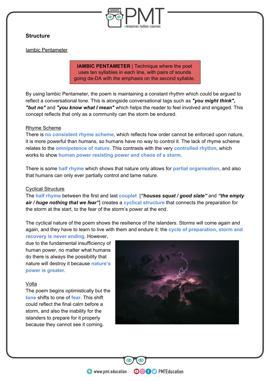

## **Structure**

Iambic Pentameter

**IAMBIC PENTAMETER** | Technique where the poet uses ten syllables in each line, with pairs of sounds going da-DA with the emphasis on the second syllable.

By using Iambic Pentameter, the poem is maintaining a constant rhythm which could be argued to reflect a conversational tone. This is alongside conversational tags such as *"you might think", "but no"* and *"you know what I mean"* which helps the reader to feel involved and engaged. This concept reflects that only as a community can the storm be endured.

#### Rhyme Scheme

There is **no consistent rhyme scheme**, which reflects how order cannot be enforced upon nature, it is more powerful than humans, so humans have no way to control it. The lack of rhyme scheme relates to the **omnipotence of nature**. This contrasts with the very **controlled rhythm**, which works to show **human power resisting power and chaos of a storm**.

There is some **half rhyme** which shows that nature only allows for **partial organisation**, and also that humans can only ever partially control and tame nature.

#### Cyclical Structure

The **half rhyme** between the first and last **couplet** [*"houses squat / good slate"* and *"the empty air / huge nothing that we fear"*] creates a **cyclical structure** that connects the preparation for the storm at the start, to the fear of the storm's power at the end.

The cyclical nature of the poem shows the resilience of the islanders. Storms will come again and again, and they have to learn to live with them and endure it: the **cycle of preparation, storm and** 

**recovery is never ending**. However, due to the fundamental insufficiency of human power, no matter what humans do there is always the possibility that nature will destroy it because **nature's power is greater**.

#### Volta

The poem begins optimistically but the **tone** shifts to one of **fear.** This shift could reflect the final calm before a storm, and also the inability for the islanders to prepare for it properly because they cannot see it coming.



**OOOO** PMTEducation

**C** www.pmt.education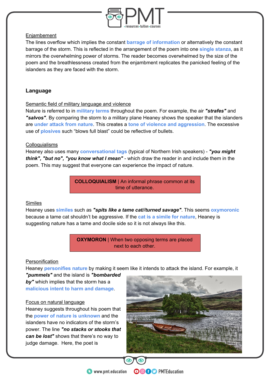

#### Enjambement

The lines overflow which implies the constant **barrage of information** or alternatively the constant barrage of the storm. This is reflected in the arrangement of the poem into one **single stanza**, as it mirrors the overwhelming power of storms. The reader becomes overwhelmed by the size of the poem and the breathlessness created from the enjambment replicates the panicked feeling of the islanders as they are faced with the storm.

## **Language**

#### Semantic field of military language and violence

Nature is referred to in **military terms** throughout the poem. For example, the air *"strafes"* and *"salvos"*. By comparing the storm to a military plane Heaney shows the speaker that the islanders are **under attack from nature**. This creates a **tone of violence and aggression**. The excessive use of **plosives** such "blows full blast" could be reflective of bullets.

#### Colloquialisms

Heaney also uses many **conversational tags** (typical of Northern Irish speakers) - *"you might think", "but no", "you know what I mean"* - which draw the reader in and include them in the poem. This may suggest that everyone can experience the impact of nature.

> **COLLOQUIALISM** | An informal phrase common at its time of utterance.

#### **Similes**

Heaney uses **similes** such as *"spits like a tame cat//turned savage"*. This seems **oxymoronic** because a tame cat shouldn't be aggressive. If the **cat is a simile for nature**, Heaney is suggesting nature has a tame and docile side so it is not always like this.

> **OXYMORON** | When two opposing terms are placed next to each other.

#### **Personification**

Heaney **personifies nature** by making it seem like it intends to attack the island. For example, it *"pummels"* and the island is *"bombarded* 

*by"* which implies that the storm has a **malicious intent to harm and damage**.

#### Focus on natural language

Heaney suggests throughout his poem that the **power of nature is unknown** and the islanders have no indicators of the storm's power. The line *"no stacks or stooks that can be lost"* shows that there's no way to judge damage. Here, the poet is



**OOOO** PMTEducation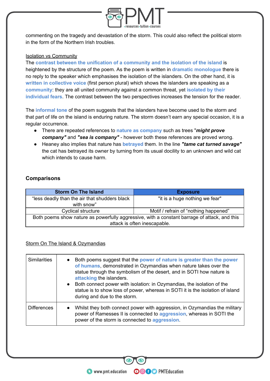

commenting on the tragedy and devastation of the storm. This could also reflect the political storm in the form of the Northern Irish troubles.

#### Isolation vs Community

The **contrast between the unification of a community and the isolation of the island** is heightened by the structure of the poem. As the poem is written in **dramatic monologue** there is no reply to the speaker which emphasises the isolation of the islanders. On the other hand, it is **written in collective voice** (first person plural) which shows the islanders are speaking as a **community**: they are all united community against a common threat, yet **isolated by their individual fears**. The contrast between the two perspectives increases the tension for the reader.

The **informal tone** of the poem suggests that the islanders have become used to the storm and that part of life on the island is enduring nature. The storm doesn't earn any special occasion, it is a regular occurrence.

- There are repeated references to **nature as company** such as trees "*might prove company"* and *"sea is company"* - however both these references are proved wrong.
- Heaney also implies that nature has **betrayed** them. In the line *"tame cat turned savage"* the cat has betrayed its owner by turning from its usual docility to an unknown and wild cat which intends to cause harm.

## **Comparisons**

| <b>Storm On The Island</b>                                                                   | <b>Exposure</b>                       |
|----------------------------------------------------------------------------------------------|---------------------------------------|
| "less deadly than the air that shudders black<br>with snow"                                  | "it is a huge nothing we fear"        |
| <b>Cyclical structure</b>                                                                    | Motif / refrain of "nothing happened" |
| Both poems show nature as powerfully aggressive, with a constant barrage of attack, and this |                                       |
|                                                                                              | attack is often inescapable.          |

## Storm On The Island & Ozymandias

| <b>Similarities</b> | Both poems suggest that the power of nature is greater than the power<br>$\bullet$<br>of humans, demonstrated in Ozymandias when nature takes over the<br>statue through the symbolism of the desert, and in SOTI how nature is<br>attacking the islanders.<br>Both connect power with isolation: in Ozymandias, the isolation of the<br>$\bullet$<br>statue is to show loss of power, whereas in SOTI it is the isolation of island<br>during and due to the storm. |
|---------------------|----------------------------------------------------------------------------------------------------------------------------------------------------------------------------------------------------------------------------------------------------------------------------------------------------------------------------------------------------------------------------------------------------------------------------------------------------------------------|
| <b>Differences</b>  | Whilst they both connect power with aggression, in Ozymandias the military<br>$\bullet$<br>power of Ramesses II is connected to aggression, whereas in SOTI the<br>power of the storm is connected to aggression.                                                                                                                                                                                                                                                    |

**OOOO** PMTEducation